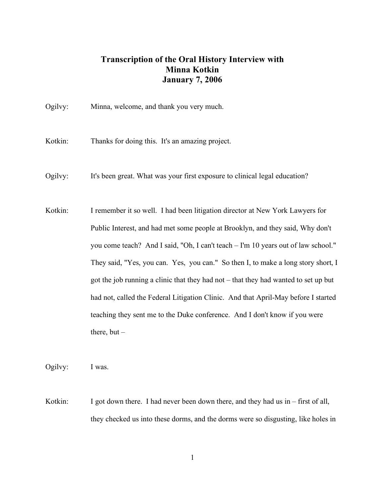## **Transcription of the Oral History Interview with Minna Kotkin January 7, 2006**

|  | Ogilvy: | Minna, welcome, and thank you very much. |
|--|---------|------------------------------------------|
|--|---------|------------------------------------------|

Kotkin: Thanks for doing this. It's an amazing project.

- Ogilvy: It's been great. What was your first exposure to clinical legal education?
- Kotkin: I remember it so well. I had been litigation director at New York Lawyers for Public Interest, and had met some people at Brooklyn, and they said, Why don't you come teach? And I said, "Oh, I can't teach – I'm 10 years out of law school." They said, "Yes, you can. Yes, you can." So then I, to make a long story short, I got the job running a clinic that they had not – that they had wanted to set up but had not, called the Federal Litigation Clinic. And that April-May before I started teaching they sent me to the Duke conference. And I don't know if you were there, but  $-$

Ogilvy: I was.

Kotkin: I got down there. I had never been down there, and they had us in – first of all, they checked us into these dorms, and the dorms were so disgusting, like holes in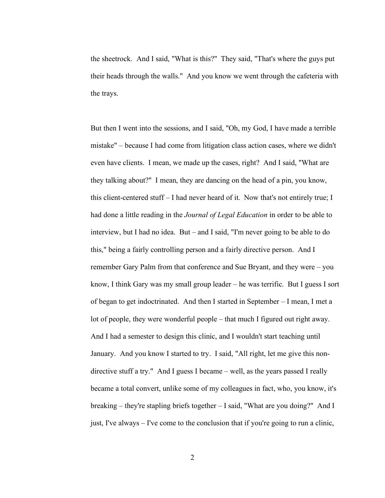the sheetrock. And I said, "What is this?" They said, "That's where the guys put their heads through the walls." And you know we went through the cafeteria with the trays.

But then I went into the sessions, and I said, "Oh, my God, I have made a terrible mistake" – because I had come from litigation class action cases, where we didn't even have clients. I mean, we made up the cases, right? And I said, "What are they talking about?" I mean, they are dancing on the head of a pin, you know, this client-centered stuff – I had never heard of it. Now that's not entirely true; I had done a little reading in the *Journal of Legal Education* in order to be able to interview, but I had no idea. But – and I said, "I'm never going to be able to do this," being a fairly controlling person and a fairly directive person. And I remember Gary Palm from that conference and Sue Bryant, and they were – you know, I think Gary was my small group leader – he was terrific. But I guess I sort of began to get indoctrinated. And then I started in September – I mean, I met a lot of people, they were wonderful people – that much I figured out right away. And I had a semester to design this clinic, and I wouldn't start teaching until January. And you know I started to try. I said, "All right, let me give this nondirective stuff a try." And I guess I became – well, as the years passed I really became a total convert, unlike some of my colleagues in fact, who, you know, it's breaking – they're stapling briefs together – I said, "What are you doing?" And I just, I've always – I've come to the conclusion that if you're going to run a clinic,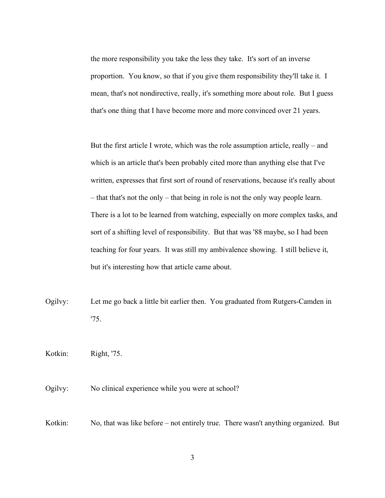the more responsibility you take the less they take. It's sort of an inverse proportion. You know, so that if you give them responsibility they'll take it. I mean, that's not nondirective, really, it's something more about role. But I guess that's one thing that I have become more and more convinced over 21 years.

But the first article I wrote, which was the role assumption article, really – and which is an article that's been probably cited more than anything else that I've written, expresses that first sort of round of reservations, because it's really about – that that's not the only – that being in role is not the only way people learn. There is a lot to be learned from watching, especially on more complex tasks, and sort of a shifting level of responsibility. But that was '88 maybe, so I had been teaching for four years. It was still my ambivalence showing. I still believe it, but it's interesting how that article came about.

Ogilvy: Let me go back a little bit earlier then. You graduated from Rutgers-Camden in '75.

Kotkin: Right, '75.

Ogilvy: No clinical experience while you were at school?

Kotkin: No, that was like before – not entirely true. There wasn't anything organized. But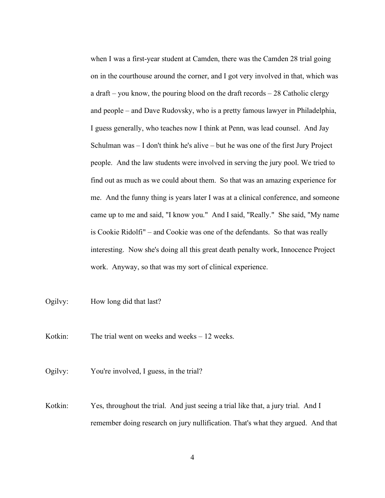when I was a first-year student at Camden, there was the Camden 28 trial going on in the courthouse around the corner, and I got very involved in that, which was a draft – you know, the pouring blood on the draft records – 28 Catholic clergy and people – and Dave Rudovsky, who is a pretty famous lawyer in Philadelphia, I guess generally, who teaches now I think at Penn, was lead counsel. And Jay Schulman was – I don't think he's alive – but he was one of the first Jury Project people. And the law students were involved in serving the jury pool. We tried to find out as much as we could about them. So that was an amazing experience for me. And the funny thing is years later I was at a clinical conference, and someone came up to me and said, "I know you." And I said, "Really." She said, "My name is Cookie Ridolfi" – and Cookie was one of the defendants. So that was really interesting. Now she's doing all this great death penalty work, Innocence Project work. Anyway, so that was my sort of clinical experience.

Ogilvy: How long did that last?

Kotkin: The trial went on weeks and weeks – 12 weeks.

Ogilvy: You're involved, I guess, in the trial?

Kotkin: Yes, throughout the trial. And just seeing a trial like that, a jury trial. And I remember doing research on jury nullification. That's what they argued. And that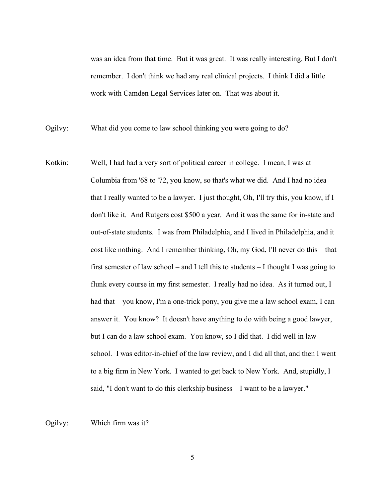was an idea from that time. But it was great. It was really interesting. But I don't remember. I don't think we had any real clinical projects. I think I did a little work with Camden Legal Services later on. That was about it.

Ogilvy: What did you come to law school thinking you were going to do?

Kotkin: Well, I had had a very sort of political career in college. I mean, I was at Columbia from '68 to '72, you know, so that's what we did. And I had no idea that I really wanted to be a lawyer. I just thought, Oh, I'll try this, you know, if I don't like it. And Rutgers cost \$500 a year. And it was the same for in-state and out-of-state students. I was from Philadelphia, and I lived in Philadelphia, and it cost like nothing. And I remember thinking, Oh, my God, I'll never do this – that first semester of law school – and I tell this to students  $-1$  thought I was going to flunk every course in my first semester. I really had no idea. As it turned out, I had that – you know, I'm a one-trick pony, you give me a law school exam, I can answer it. You know? It doesn't have anything to do with being a good lawyer, but I can do a law school exam. You know, so I did that. I did well in law school. I was editor-in-chief of the law review, and I did all that, and then I went to a big firm in New York. I wanted to get back to New York. And, stupidly, I said, "I don't want to do this clerkship business – I want to be a lawyer."

Ogilvy: Which firm was it?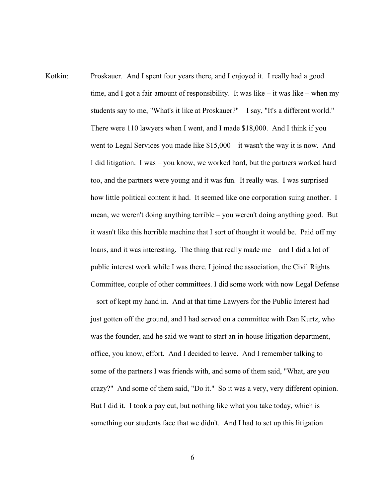Kotkin: Proskauer. And I spent four years there, and I enjoyed it. I really had a good time, and I got a fair amount of responsibility. It was like – it was like – when my students say to me, "What's it like at Proskauer?" – I say, "It's a different world." There were 110 lawyers when I went, and I made \$18,000. And I think if you went to Legal Services you made like \$15,000 – it wasn't the way it is now. And I did litigation. I was – you know, we worked hard, but the partners worked hard too, and the partners were young and it was fun. It really was. I was surprised how little political content it had. It seemed like one corporation suing another. I mean, we weren't doing anything terrible – you weren't doing anything good. But it wasn't like this horrible machine that I sort of thought it would be. Paid off my loans, and it was interesting. The thing that really made me – and I did a lot of public interest work while I was there. I joined the association, the Civil Rights Committee, couple of other committees. I did some work with now Legal Defense – sort of kept my hand in. And at that time Lawyers for the Public Interest had just gotten off the ground, and I had served on a committee with Dan Kurtz, who was the founder, and he said we want to start an in-house litigation department, office, you know, effort. And I decided to leave. And I remember talking to some of the partners I was friends with, and some of them said, "What, are you crazy?" And some of them said, "Do it." So it was a very, very different opinion. But I did it. I took a pay cut, but nothing like what you take today, which is something our students face that we didn't. And I had to set up this litigation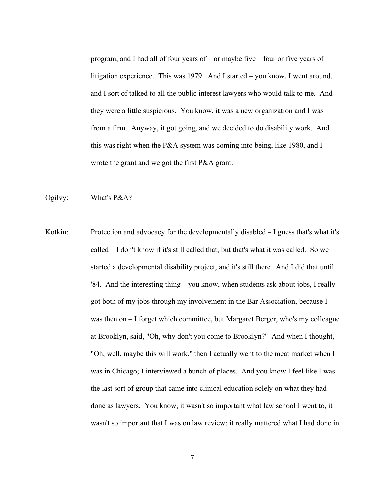program, and I had all of four years of – or maybe five – four or five years of litigation experience. This was 1979. And I started – you know, I went around, and I sort of talked to all the public interest lawyers who would talk to me. And they were a little suspicious. You know, it was a new organization and I was from a firm. Anyway, it got going, and we decided to do disability work. And this was right when the P&A system was coming into being, like 1980, and I wrote the grant and we got the first P&A grant.

Ogilvy: What's P&A?

Kotkin: Protection and advocacy for the developmentally disabled – I guess that's what it's called – I don't know if it's still called that, but that's what it was called. So we started a developmental disability project, and it's still there. And I did that until '84. And the interesting thing – you know, when students ask about jobs, I really got both of my jobs through my involvement in the Bar Association, because I was then on – I forget which committee, but Margaret Berger, who's my colleague at Brooklyn, said, "Oh, why don't you come to Brooklyn?" And when I thought, "Oh, well, maybe this will work," then I actually went to the meat market when I was in Chicago; I interviewed a bunch of places. And you know I feel like I was the last sort of group that came into clinical education solely on what they had done as lawyers. You know, it wasn't so important what law school I went to, it wasn't so important that I was on law review; it really mattered what I had done in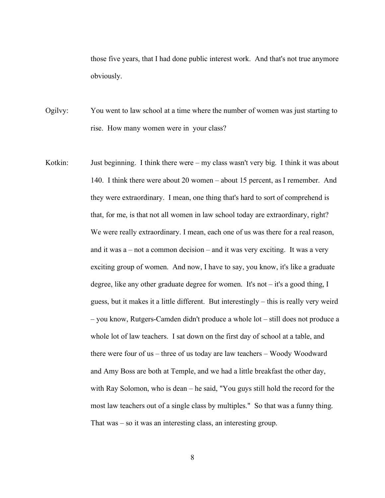those five years, that I had done public interest work. And that's not true anymore obviously.

Ogilvy: You went to law school at a time where the number of women was just starting to rise. How many women were in your class?

Kotkin: Just beginning. I think there were – my class wasn't very big. I think it was about 140. I think there were about 20 women – about 15 percent, as I remember. And they were extraordinary. I mean, one thing that's hard to sort of comprehend is that, for me, is that not all women in law school today are extraordinary, right? We were really extraordinary. I mean, each one of us was there for a real reason, and it was  $a$  – not a common decision – and it was very exciting. It was a very exciting group of women. And now, I have to say, you know, it's like a graduate degree, like any other graduate degree for women. It's not – it's a good thing, I guess, but it makes it a little different. But interestingly – this is really very weird – you know, Rutgers-Camden didn't produce a whole lot – still does not produce a whole lot of law teachers. I sat down on the first day of school at a table, and there were four of us – three of us today are law teachers – Woody Woodward and Amy Boss are both at Temple, and we had a little breakfast the other day, with Ray Solomon, who is dean – he said, "You guys still hold the record for the most law teachers out of a single class by multiples." So that was a funny thing. That was – so it was an interesting class, an interesting group.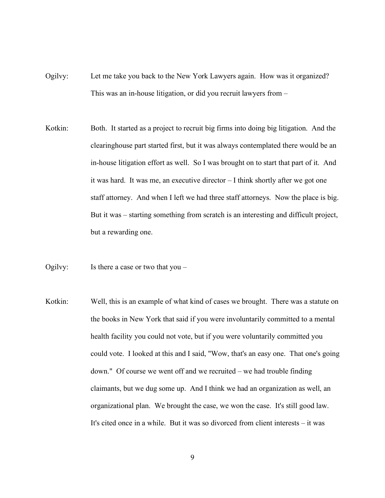- Ogilvy: Let me take you back to the New York Lawyers again. How was it organized? This was an in-house litigation, or did you recruit lawyers from –
- Kotkin: Both. It started as a project to recruit big firms into doing big litigation. And the clearinghouse part started first, but it was always contemplated there would be an in-house litigation effort as well. So I was brought on to start that part of it. And it was hard. It was me, an executive director – I think shortly after we got one staff attorney. And when I left we had three staff attorneys. Now the place is big. But it was – starting something from scratch is an interesting and difficult project, but a rewarding one.
- Ogilvy: Is there a case or two that you –
- Kotkin: Well, this is an example of what kind of cases we brought. There was a statute on the books in New York that said if you were involuntarily committed to a mental health facility you could not vote, but if you were voluntarily committed you could vote. I looked at this and I said, "Wow, that's an easy one. That one's going down." Of course we went off and we recruited – we had trouble finding claimants, but we dug some up. And I think we had an organization as well, an organizational plan. We brought the case, we won the case. It's still good law. It's cited once in a while. But it was so divorced from client interests – it was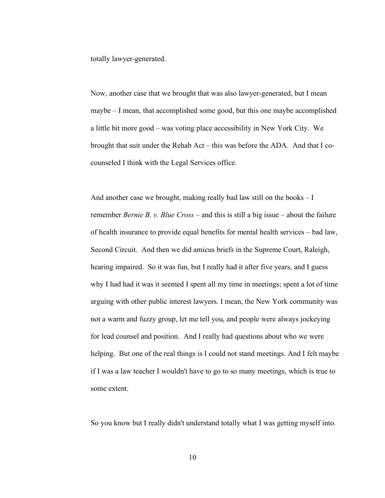totally lawyer-generated.

Now, another case that we brought that was also lawyer-generated, but I mean maybe – I mean, that accomplished some good, but this one maybe accomplished a little bit more good – was voting place accessibility in New York City. We brought that suit under the Rehab Act – this was before the ADA. And that I cocounseled I think with the Legal Services office.

And another case we brought, making really bad law still on the books – I remember *Bernie B. v. Blue Cross* – and this is still a big issue – about the failure of health insurance to provide equal benefits for mental health services – bad law, Second Circuit. And then we did amicus briefs in the Supreme Court, Raleigh, hearing impaired. So it was fun, but I really had it after five years, and I guess why I had had it was it seemed I spent all my time in meetings; spent a lot of time arguing with other public interest lawyers. I mean, the New York community was not a warm and fuzzy group, let me tell you, and people were always jockeying for lead counsel and position. And I really had questions about who we were helping. But one of the real things is I could not stand meetings. And I felt maybe if I was a law teacher I wouldn't have to go to so many meetings, which is true to some extent.

So you know but I really didn't understand totally what I was getting myself into.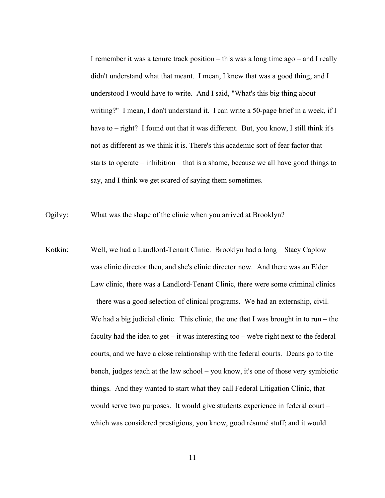I remember it was a tenure track position – this was a long time ago – and I really didn't understand what that meant. I mean, I knew that was a good thing, and I understood I would have to write. And I said, "What's this big thing about writing?" I mean, I don't understand it. I can write a 50-page brief in a week, if I have to – right? I found out that it was different. But, you know, I still think it's not as different as we think it is. There's this academic sort of fear factor that starts to operate – inhibition – that is a shame, because we all have good things to say, and I think we get scared of saying them sometimes.

Ogilvy: What was the shape of the clinic when you arrived at Brooklyn?

Kotkin: Well, we had a Landlord-Tenant Clinic. Brooklyn had a long – Stacy Caplow was clinic director then, and she's clinic director now. And there was an Elder Law clinic, there was a Landlord-Tenant Clinic, there were some criminal clinics – there was a good selection of clinical programs. We had an externship, civil. We had a big judicial clinic. This clinic, the one that I was brought in to  $run - the$ faculty had the idea to get – it was interesting too – we're right next to the federal courts, and we have a close relationship with the federal courts. Deans go to the bench, judges teach at the law school – you know, it's one of those very symbiotic things. And they wanted to start what they call Federal Litigation Clinic, that would serve two purposes. It would give students experience in federal court – which was considered prestigious, you know, good résumé stuff; and it would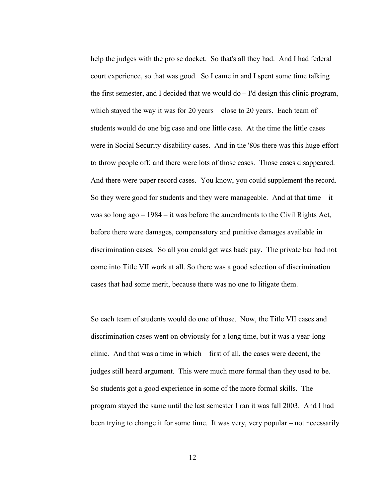help the judges with the pro se docket. So that's all they had. And I had federal court experience, so that was good. So I came in and I spent some time talking the first semester, and I decided that we would do – I'd design this clinic program, which stayed the way it was for 20 years – close to 20 years. Each team of students would do one big case and one little case. At the time the little cases were in Social Security disability cases. And in the '80s there was this huge effort to throw people off, and there were lots of those cases. Those cases disappeared. And there were paper record cases. You know, you could supplement the record. So they were good for students and they were manageable. And at that time  $-$  it was so long ago – 1984 – it was before the amendments to the Civil Rights Act, before there were damages, compensatory and punitive damages available in discrimination cases. So all you could get was back pay. The private bar had not come into Title VII work at all. So there was a good selection of discrimination cases that had some merit, because there was no one to litigate them.

So each team of students would do one of those. Now, the Title VII cases and discrimination cases went on obviously for a long time, but it was a year-long clinic. And that was a time in which – first of all, the cases were decent, the judges still heard argument. This were much more formal than they used to be. So students got a good experience in some of the more formal skills. The program stayed the same until the last semester I ran it was fall 2003. And I had been trying to change it for some time. It was very, very popular – not necessarily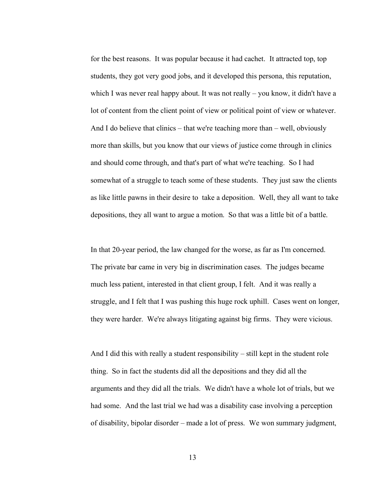for the best reasons. It was popular because it had cachet. It attracted top, top students, they got very good jobs, and it developed this persona, this reputation, which I was never real happy about. It was not really – you know, it didn't have a lot of content from the client point of view or political point of view or whatever. And I do believe that clinics – that we're teaching more than – well, obviously more than skills, but you know that our views of justice come through in clinics and should come through, and that's part of what we're teaching. So I had somewhat of a struggle to teach some of these students. They just saw the clients as like little pawns in their desire to take a deposition. Well, they all want to take depositions, they all want to argue a motion. So that was a little bit of a battle.

In that 20-year period, the law changed for the worse, as far as I'm concerned. The private bar came in very big in discrimination cases. The judges became much less patient, interested in that client group, I felt. And it was really a struggle, and I felt that I was pushing this huge rock uphill. Cases went on longer, they were harder. We're always litigating against big firms. They were vicious.

And I did this with really a student responsibility – still kept in the student role thing. So in fact the students did all the depositions and they did all the arguments and they did all the trials. We didn't have a whole lot of trials, but we had some. And the last trial we had was a disability case involving a perception of disability, bipolar disorder – made a lot of press. We won summary judgment,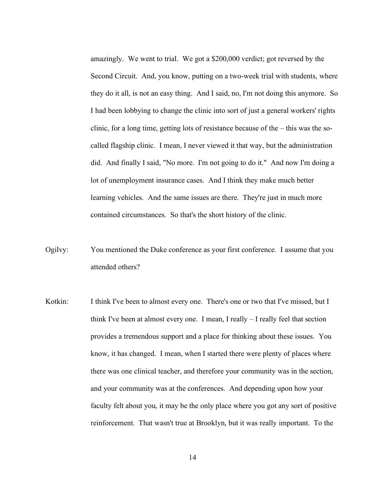amazingly. We went to trial. We got a \$200,000 verdict; got reversed by the Second Circuit. And, you know, putting on a two-week trial with students, where they do it all, is not an easy thing. And I said, no, I'm not doing this anymore. So I had been lobbying to change the clinic into sort of just a general workers' rights clinic, for a long time, getting lots of resistance because of the – this was the socalled flagship clinic. I mean, I never viewed it that way, but the administration did. And finally I said, "No more. I'm not going to do it." And now I'm doing a lot of unemployment insurance cases. And I think they make much better learning vehicles. And the same issues are there. They're just in much more contained circumstances. So that's the short history of the clinic.

- Ogilvy: You mentioned the Duke conference as your first conference. I assume that you attended others?
- Kotkin: I think I've been to almost every one. There's one or two that I've missed, but I think I've been at almost every one. I mean, I really – I really feel that section provides a tremendous support and a place for thinking about these issues. You know, it has changed. I mean, when I started there were plenty of places where there was one clinical teacher, and therefore your community was in the section, and your community was at the conferences. And depending upon how your faculty felt about you, it may be the only place where you got any sort of positive reinforcement. That wasn't true at Brooklyn, but it was really important. To the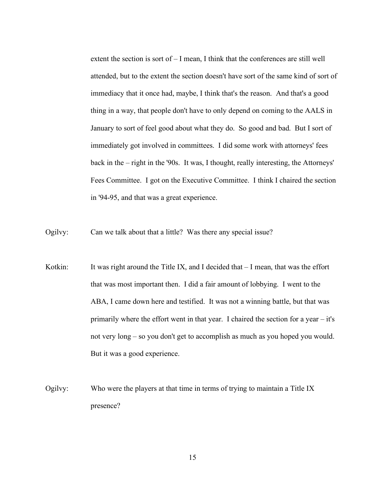extent the section is sort of – I mean, I think that the conferences are still well attended, but to the extent the section doesn't have sort of the same kind of sort of immediacy that it once had, maybe, I think that's the reason. And that's a good thing in a way, that people don't have to only depend on coming to the AALS in January to sort of feel good about what they do. So good and bad. But I sort of immediately got involved in committees. I did some work with attorneys' fees back in the – right in the '90s. It was, I thought, really interesting, the Attorneys' Fees Committee. I got on the Executive Committee. I think I chaired the section in '94-95, and that was a great experience.

Ogilvy: Can we talk about that a little? Was there any special issue?

- Kotkin: It was right around the Title IX, and I decided that I mean, that was the effort that was most important then. I did a fair amount of lobbying. I went to the ABA, I came down here and testified. It was not a winning battle, but that was primarily where the effort went in that year. I chaired the section for a year – it's not very long – so you don't get to accomplish as much as you hoped you would. But it was a good experience.
- Ogilvy: Who were the players at that time in terms of trying to maintain a Title IX presence?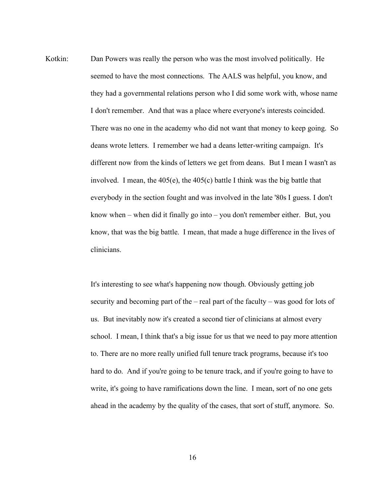Kotkin: Dan Powers was really the person who was the most involved politically. He seemed to have the most connections. The AALS was helpful, you know, and they had a governmental relations person who I did some work with, whose name I don't remember. And that was a place where everyone's interests coincided. There was no one in the academy who did not want that money to keep going. So deans wrote letters. I remember we had a deans letter-writing campaign. It's different now from the kinds of letters we get from deans. But I mean I wasn't as involved. I mean, the 405(e), the 405(c) battle I think was the big battle that everybody in the section fought and was involved in the late '80s I guess. I don't know when – when did it finally go into – you don't remember either. But, you know, that was the big battle. I mean, that made a huge difference in the lives of clinicians.

> It's interesting to see what's happening now though. Obviously getting job security and becoming part of the – real part of the faculty – was good for lots of us. But inevitably now it's created a second tier of clinicians at almost every school. I mean, I think that's a big issue for us that we need to pay more attention to. There are no more really unified full tenure track programs, because it's too hard to do. And if you're going to be tenure track, and if you're going to have to write, it's going to have ramifications down the line. I mean, sort of no one gets ahead in the academy by the quality of the cases, that sort of stuff, anymore. So.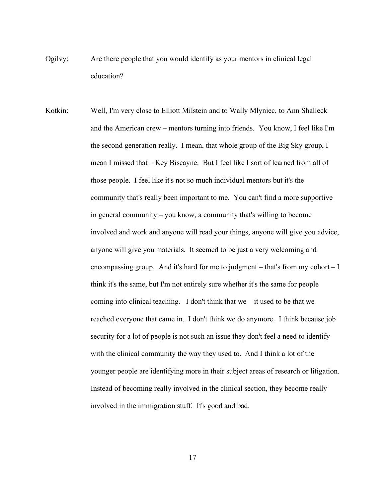- Ogilvy: Are there people that you would identify as your mentors in clinical legal education?
- Kotkin: Well, I'm very close to Elliott Milstein and to Wally Mlyniec, to Ann Shalleck and the American crew – mentors turning into friends. You know, I feel like I'm the second generation really. I mean, that whole group of the Big Sky group, I mean I missed that – Key Biscayne. But I feel like I sort of learned from all of those people. I feel like it's not so much individual mentors but it's the community that's really been important to me. You can't find a more supportive in general community – you know, a community that's willing to become involved and work and anyone will read your things, anyone will give you advice, anyone will give you materials. It seemed to be just a very welcoming and encompassing group. And it's hard for me to judgment – that's from my cohort – I think it's the same, but I'm not entirely sure whether it's the same for people coming into clinical teaching. I don't think that we – it used to be that we reached everyone that came in. I don't think we do anymore. I think because job security for a lot of people is not such an issue they don't feel a need to identify with the clinical community the way they used to. And I think a lot of the younger people are identifying more in their subject areas of research or litigation. Instead of becoming really involved in the clinical section, they become really involved in the immigration stuff. It's good and bad.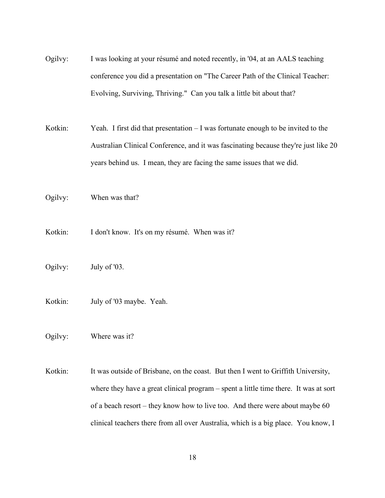- Ogilvy: I was looking at your résumé and noted recently, in '04, at an AALS teaching conference you did a presentation on "The Career Path of the Clinical Teacher: Evolving, Surviving, Thriving." Can you talk a little bit about that?
- Kotkin: Yeah. I first did that presentation I was fortunate enough to be invited to the Australian Clinical Conference, and it was fascinating because they're just like 20 years behind us. I mean, they are facing the same issues that we did.

Ogilvy: When was that?

- Kotkin: I don't know. It's on my résumé. When was it?
- Ogilvy: July of '03.
- Kotkin: July of '03 maybe. Yeah.

Ogilvy: Where was it?

Kotkin: It was outside of Brisbane, on the coast. But then I went to Griffith University, where they have a great clinical program – spent a little time there. It was at sort of a beach resort – they know how to live too. And there were about maybe 60 clinical teachers there from all over Australia, which is a big place. You know, I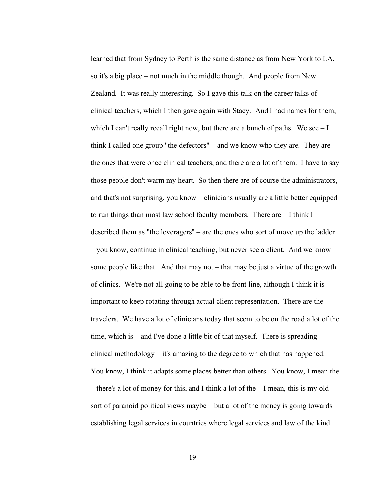learned that from Sydney to Perth is the same distance as from New York to LA, so it's a big place – not much in the middle though. And people from New Zealand. It was really interesting. So I gave this talk on the career talks of clinical teachers, which I then gave again with Stacy. And I had names for them, which I can't really recall right now, but there are a bunch of paths. We see  $-I$ think I called one group "the defectors" – and we know who they are. They are the ones that were once clinical teachers, and there are a lot of them. I have to say those people don't warm my heart. So then there are of course the administrators, and that's not surprising, you know – clinicians usually are a little better equipped to run things than most law school faculty members. There are – I think I described them as "the leveragers" – are the ones who sort of move up the ladder – you know, continue in clinical teaching, but never see a client. And we know some people like that. And that may not – that may be just a virtue of the growth of clinics. We're not all going to be able to be front line, although I think it is important to keep rotating through actual client representation. There are the travelers. We have a lot of clinicians today that seem to be on the road a lot of the time, which is – and I've done a little bit of that myself. There is spreading clinical methodology – it's amazing to the degree to which that has happened. You know, I think it adapts some places better than others. You know, I mean the – there's a lot of money for this, and I think a lot of the  $-1$  mean, this is my old sort of paranoid political views maybe – but a lot of the money is going towards establishing legal services in countries where legal services and law of the kind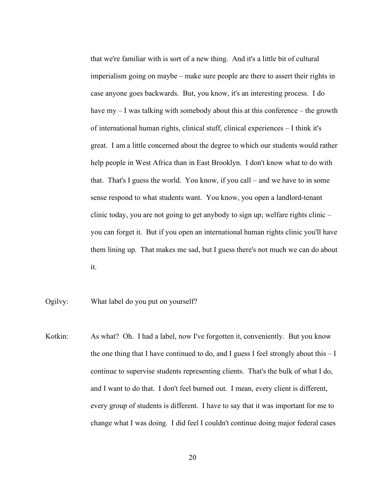that we're familiar with is sort of a new thing. And it's a little bit of cultural imperialism going on maybe – make sure people are there to assert their rights in case anyone goes backwards. But, you know, it's an interesting process. I do have my – I was talking with somebody about this at this conference – the growth of international human rights, clinical stuff, clinical experiences – I think it's great. I am a little concerned about the degree to which our students would rather help people in West Africa than in East Brooklyn. I don't know what to do with that. That's I guess the world. You know, if you call – and we have to in some sense respond to what students want. You know, you open a landlord-tenant clinic today, you are not going to get anybody to sign up; welfare rights clinic – you can forget it. But if you open an international human rights clinic you'll have them lining up. That makes me sad, but I guess there's not much we can do about it.

- Ogilvy: What label do you put on yourself?
- Kotkin: As what? Oh. I had a label, now I've forgotten it, conveniently. But you know the one thing that I have continued to do, and I guess I feel strongly about this – I continue to supervise students representing clients. That's the bulk of what I do, and I want to do that. I don't feel burned out. I mean, every client is different, every group of students is different. I have to say that it was important for me to change what I was doing. I did feel I couldn't continue doing major federal cases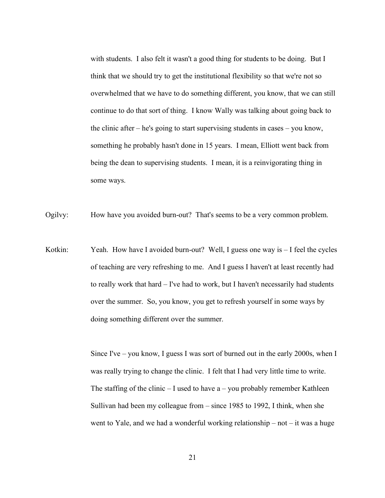with students. I also felt it wasn't a good thing for students to be doing. But I think that we should try to get the institutional flexibility so that we're not so overwhelmed that we have to do something different, you know, that we can still continue to do that sort of thing. I know Wally was talking about going back to the clinic after – he's going to start supervising students in cases – you know, something he probably hasn't done in 15 years. I mean, Elliott went back from being the dean to supervising students. I mean, it is a reinvigorating thing in some ways.

Ogilvy: How have you avoided burn-out? That's seems to be a very common problem.

Kotkin: Yeah. How have I avoided burn-out? Well, I guess one way is - I feel the cycles of teaching are very refreshing to me. And I guess I haven't at least recently had to really work that hard – I've had to work, but I haven't necessarily had students over the summer. So, you know, you get to refresh yourself in some ways by doing something different over the summer.

> Since I've – you know, I guess I was sort of burned out in the early 2000s, when I was really trying to change the clinic. I felt that I had very little time to write. The staffing of the clinic  $-1$  used to have a – you probably remember Kathleen Sullivan had been my colleague from – since 1985 to 1992, I think, when she went to Yale, and we had a wonderful working relationship – not – it was a huge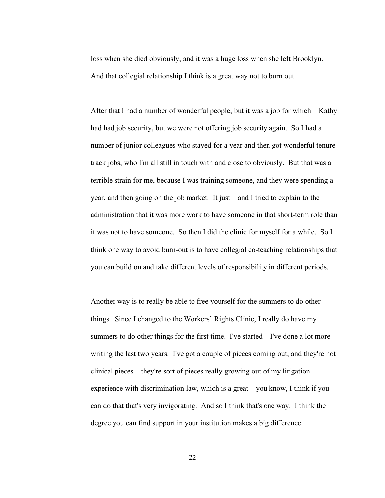loss when she died obviously, and it was a huge loss when she left Brooklyn. And that collegial relationship I think is a great way not to burn out.

After that I had a number of wonderful people, but it was a job for which – Kathy had had job security, but we were not offering job security again. So I had a number of junior colleagues who stayed for a year and then got wonderful tenure track jobs, who I'm all still in touch with and close to obviously. But that was a terrible strain for me, because I was training someone, and they were spending a year, and then going on the job market. It just – and I tried to explain to the administration that it was more work to have someone in that short-term role than it was not to have someone. So then I did the clinic for myself for a while. So I think one way to avoid burn-out is to have collegial co-teaching relationships that you can build on and take different levels of responsibility in different periods.

Another way is to really be able to free yourself for the summers to do other things. Since I changed to the Workers' Rights Clinic, I really do have my summers to do other things for the first time. I've started – I've done a lot more writing the last two years. I've got a couple of pieces coming out, and they're not clinical pieces – they're sort of pieces really growing out of my litigation experience with discrimination law, which is a great – you know, I think if you can do that that's very invigorating. And so I think that's one way. I think the degree you can find support in your institution makes a big difference.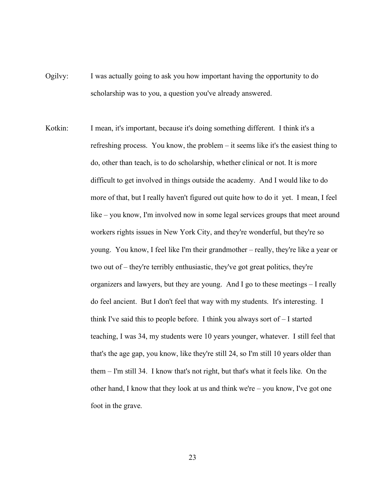- Ogilvy: I was actually going to ask you how important having the opportunity to do scholarship was to you, a question you've already answered.
- Kotkin: I mean, it's important, because it's doing something different. I think it's a refreshing process. You know, the problem – it seems like it's the easiest thing to do, other than teach, is to do scholarship, whether clinical or not. It is more difficult to get involved in things outside the academy. And I would like to do more of that, but I really haven't figured out quite how to do it yet. I mean, I feel like – you know, I'm involved now in some legal services groups that meet around workers rights issues in New York City, and they're wonderful, but they're so young. You know, I feel like I'm their grandmother – really, they're like a year or two out of – they're terribly enthusiastic, they've got great politics, they're organizers and lawyers, but they are young. And I go to these meetings – I really do feel ancient. But I don't feel that way with my students. It's interesting. I think I've said this to people before. I think you always sort of – I started teaching, I was 34, my students were 10 years younger, whatever. I still feel that that's the age gap, you know, like they're still 24, so I'm still 10 years older than them – I'm still 34. I know that's not right, but that's what it feels like. On the other hand, I know that they look at us and think we're – you know, I've got one foot in the grave.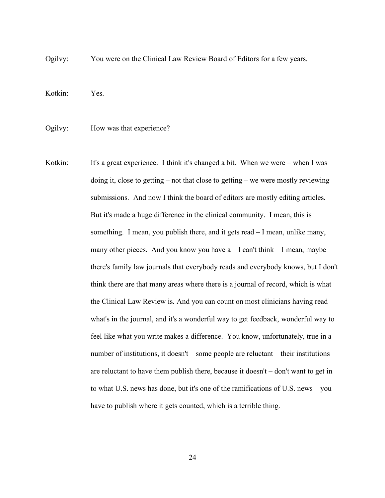Ogilvy: You were on the Clinical Law Review Board of Editors for a few years.

Kotkin: Yes.

Ogilvy: How was that experience?

Kotkin: It's a great experience. I think it's changed a bit. When we were  $-$  when I was doing it, close to getting – not that close to getting – we were mostly reviewing submissions. And now I think the board of editors are mostly editing articles. But it's made a huge difference in the clinical community. I mean, this is something. I mean, you publish there, and it gets read – I mean, unlike many, many other pieces. And you know you have  $a - I$  can't think  $-I$  mean, maybe there's family law journals that everybody reads and everybody knows, but I don't think there are that many areas where there is a journal of record, which is what the Clinical Law Review is. And you can count on most clinicians having read what's in the journal, and it's a wonderful way to get feedback, wonderful way to feel like what you write makes a difference. You know, unfortunately, true in a number of institutions, it doesn't – some people are reluctant – their institutions are reluctant to have them publish there, because it doesn't – don't want to get in to what U.S. news has done, but it's one of the ramifications of U.S. news – you have to publish where it gets counted, which is a terrible thing.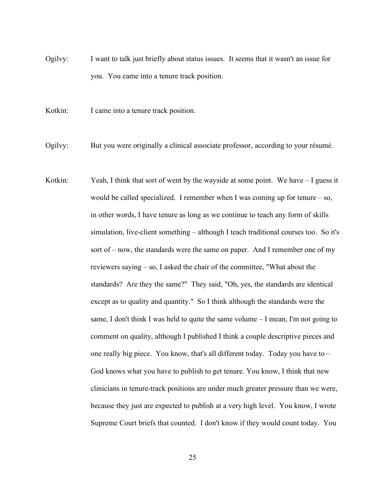Ogilvy: I want to talk just briefly about status issues. It seems that it wasn't an issue for you. You came into a tenure track position.

Kotkin: I came into a tenure track position.

Ogilvy: But you were originally a clinical associate professor, according to your résumé.

Kotkin: Yeah, I think that sort of went by the wayside at some point. We have  $-I$  guess it would be called specialized. I remember when I was coming up for tenure – so, in other words, I have tenure as long as we continue to teach any form of skills simulation, live-client something – although I teach traditional courses too. So it's sort of – now, the standards were the same on paper. And I remember one of my reviewers saying – so, I asked the chair of the committee, "What about the standards? Are they the same?" They said, "Oh, yes, the standards are identical except as to quality and quantity." So I think although the standards were the same, I don't think I was held to quite the same volume  $-1$  mean, I'm not going to comment on quality, although I published I think a couple descriptive pieces and one really big piece. You know, that's all different today. Today you have to – God knows what you have to publish to get tenure. You know, I think that new clinicians in tenure-track positions are under much greater pressure than we were, because they just are expected to publish at a very high level. You know, I wrote Supreme Court briefs that counted. I don't know if they would count today. You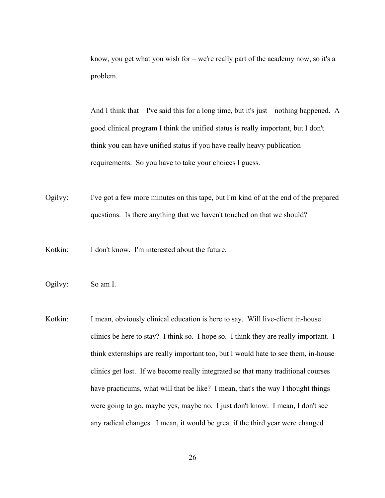know, you get what you wish for – we're really part of the academy now, so it's a problem.

And I think that – I've said this for a long time, but it's just – nothing happened. A good clinical program I think the unified status is really important, but I don't think you can have unified status if you have really heavy publication requirements. So you have to take your choices I guess.

Ogilvy: I've got a few more minutes on this tape, but I'm kind of at the end of the prepared questions. Is there anything that we haven't touched on that we should?

Kotkin: I don't know. I'm interested about the future.

Ogilvy: So am I.

Kotkin: I mean, obviously clinical education is here to say. Will live-client in-house clinics be here to stay? I think so. I hope so. I think they are really important. I think externships are really important too, but I would hate to see them, in-house clinics get lost. If we become really integrated so that many traditional courses have practicums, what will that be like? I mean, that's the way I thought things were going to go, maybe yes, maybe no. I just don't know. I mean, I don't see any radical changes. I mean, it would be great if the third year were changed